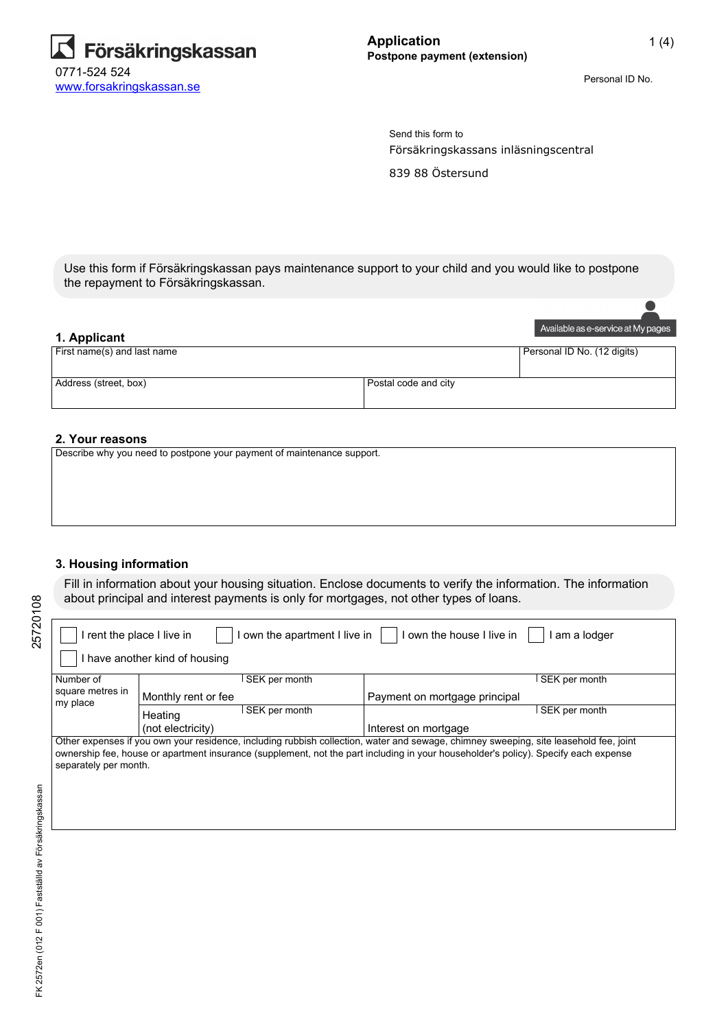

Personal ID No.

Försäkringskassans inläsningscentral 839 88 Östersund Send this form to

Use this form if Försäkringskassan pays maintenance support to your child and you would like to postpone the repayment to Försäkringskassan.

# Available as e-service at My pages **1. Applicant** First name(s) and last name Personal ID No. (12 digits) Address (street, box) Postal code and city

#### **2. Your reasons**

Describe why you need to postpone your payment of maintenance support.

#### **3. Housing information**

Fill in information about your housing situation. Enclose documents to verify the information. The information about principal and interest payments is only for mortgages, not other types of loans.

| own the apartment I live in<br>own the house I live in<br>I rent the place I live in<br>am a lodger                                                                                                                                                                                                   |                                |                               |  |  |  |
|-------------------------------------------------------------------------------------------------------------------------------------------------------------------------------------------------------------------------------------------------------------------------------------------------------|--------------------------------|-------------------------------|--|--|--|
|                                                                                                                                                                                                                                                                                                       | I have another kind of housing |                               |  |  |  |
| Number of                                                                                                                                                                                                                                                                                             | SEK per month                  | SEK per month                 |  |  |  |
| square metres in<br>my place                                                                                                                                                                                                                                                                          | Monthly rent or fee            | Payment on mortgage principal |  |  |  |
|                                                                                                                                                                                                                                                                                                       | SEK per month<br>Heating       | SEK per month                 |  |  |  |
|                                                                                                                                                                                                                                                                                                       | (not electricity)              | Interest on mortgage          |  |  |  |
| Other expenses if you own your residence, including rubbish collection, water and sewage, chimney sweeping, site leasehold fee, joint<br>ownership fee, house or apartment insurance (supplement, not the part including in your householder's policy). Specify each expense<br>separately per month. |                                |                               |  |  |  |

25720108

25720108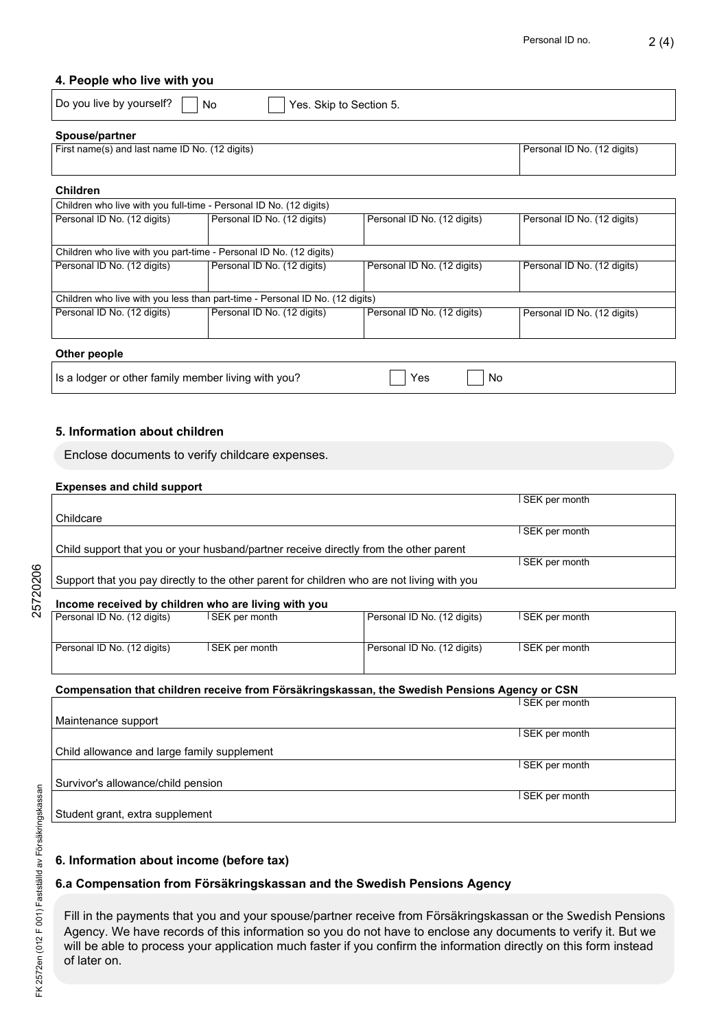#### **4. People who live with you**

|  | $\vert$ Do you live by you |  |  |
|--|----------------------------|--|--|

 $\mathsf{rself?} \ \ \blacksquare$  No  $\ \ \blacksquare$  Yes. Skip to Section 5.

#### **Spouse/partner**

| First name(s) and last name ID No. (12 digits) | Personal ID No. (12 digits) |
|------------------------------------------------|-----------------------------|
|                                                |                             |

#### **Children**

| Children who live with you full-time - Personal ID No. (12 digits)           |                             |                             |                             |  |  |  |
|------------------------------------------------------------------------------|-----------------------------|-----------------------------|-----------------------------|--|--|--|
| Personal ID No. (12 digits)                                                  | Personal ID No. (12 digits) | Personal ID No. (12 digits) | Personal ID No. (12 digits) |  |  |  |
|                                                                              |                             |                             |                             |  |  |  |
| Children who live with you part-time - Personal ID No. (12 digits)           |                             |                             |                             |  |  |  |
| Personal ID No. (12 digits)                                                  | Personal ID No. (12 digits) | Personal ID No. (12 digits) | Personal ID No. (12 digits) |  |  |  |
|                                                                              |                             |                             |                             |  |  |  |
| Children who live with you less than part-time - Personal ID No. (12 digits) |                             |                             |                             |  |  |  |
| Personal ID No. (12 digits)                                                  | Personal ID No. (12 digits) | Personal ID No. (12 digits) | Personal ID No. (12 digits) |  |  |  |
|                                                                              |                             |                             |                             |  |  |  |
| Othar naanla                                                                 |                             |                             |                             |  |  |  |

#### **Other people**

| Is a lodger or other family member living with you? | $\bigcap$ Yes $\bigcap$ No |  |
|-----------------------------------------------------|----------------------------|--|
|-----------------------------------------------------|----------------------------|--|

#### **5. Information about children**

Enclose documents to verify childcare expenses.

#### **Expenses and child support**

|                                                     |                 |                                                                                            | SEK per month |
|-----------------------------------------------------|-----------------|--------------------------------------------------------------------------------------------|---------------|
| Childcare                                           |                 |                                                                                            |               |
|                                                     |                 |                                                                                            | SEK per month |
|                                                     |                 | Child support that you or your husband/partner receive directly from the other parent      |               |
|                                                     |                 |                                                                                            | SEK per month |
|                                                     |                 | Support that you pay directly to the other parent for children who are not living with you |               |
|                                                     |                 |                                                                                            |               |
| Income received by children who are living with you |                 |                                                                                            |               |
| Parennal ID No. (12 digite)                         | I SEK nar month | Personal ID No. (12 digits)                                                                | SEK nor month |

Personal ID No. (12 digits)

25720206

| l Personal ID No. (12 digits). | ∣SEK per month | l Personal ID No. (12 digits). | l SEK per month |
|--------------------------------|----------------|--------------------------------|-----------------|
| Personal ID No. (12 digits)    | SEK per month  | Personal ID No. (12 digits)    | l SEK per month |

#### **Compensation that children receive from Försäkringskassan, the Swedish Pensions Agency or CSN**

|                                             | I SEK per month |
|---------------------------------------------|-----------------|
| Maintenance support                         |                 |
|                                             | SEK per month   |
| Child allowance and large family supplement |                 |
|                                             | SEK per month   |
| Survivor's allowance/child pension          |                 |
|                                             | SEK per month   |
| Student grant, extra supplement             |                 |

### **6. Information about income (before tax)**

## **6.a Compensation from Försäkringskassan and the Swedish Pensions Agency**

Fill in the payments that you and your spouse/partner receive from Försäkringskassan or the Swedish Pensions Agency. We have records of this information so you do not have to enclose any documents to verify it. But we will be able to process your application much faster if you confirm the information directly on this form instead of later on.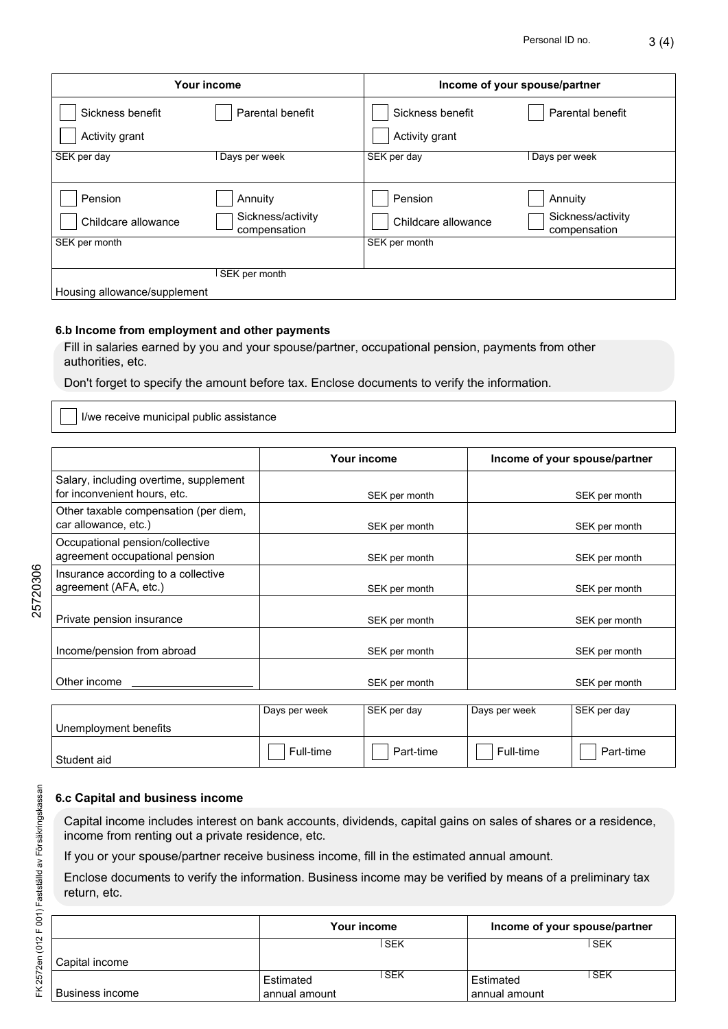| ю. | 3(4) |
|----|------|
|    |      |

| Your income                        |                                   | Income of your spouse/partner      |                                   |  |
|------------------------------------|-----------------------------------|------------------------------------|-----------------------------------|--|
| Sickness benefit<br>Activity grant | Parental benefit                  | Sickness benefit<br>Activity grant | Parental benefit                  |  |
| SEK per day                        | Days per week                     | SEK per day                        | Days per week                     |  |
|                                    |                                   |                                    |                                   |  |
| Pension                            | Annuity                           | Pension                            | Annuity                           |  |
| Childcare allowance                | Sickness/activity<br>compensation | Childcare allowance                | Sickness/activity<br>compensation |  |
| SEK per month                      |                                   | SEK per month                      |                                   |  |
|                                    |                                   |                                    |                                   |  |
|                                    | SEK per month                     |                                    |                                   |  |
| Housing allowance/supplement       |                                   |                                    |                                   |  |

# **6.b Income from employment and other payments**

Fill in salaries earned by you and your spouse/partner, occupational pension, payments from other authorities, etc.

Don't forget to specify the amount before tax. Enclose documents to verify the information.

I/we receive municipal public assistance

|                                                                        | Your income   | Income of your spouse/partner |
|------------------------------------------------------------------------|---------------|-------------------------------|
| Salary, including overtime, supplement<br>for inconvenient hours, etc. | SEK per month | SEK per month                 |
| Other taxable compensation (per diem,<br>car allowance, etc.)          | SEK per month | SEK per month                 |
| Occupational pension/collective<br>agreement occupational pension      | SEK per month | SEK per month                 |
| Insurance according to a collective<br>agreement (AFA, etc.)           | SEK per month | SEK per month                 |
| Private pension insurance                                              | SEK per month | SEK per month                 |
| Income/pension from abroad                                             | SEK per month | SEK per month                 |
| Other income                                                           | SEK per month | SEK per month                 |
|                                                                        |               |                               |

|                                    | Days per week | SEK per day | Days per week | SEK per day |
|------------------------------------|---------------|-------------|---------------|-------------|
| <sup>1</sup> Unemployment benefits |               |             |               |             |
| Student aid                        | Full-time     | Part-time   | Full-time     | Part-time   |

# **6.c Capital and business income**

Capital income includes interest on bank accounts, dividends, capital gains on sales of shares or a residence, income from renting out a private residence, etc.

If you or your spouse/partner receive business income, fill in the estimated annual amount.

Enclose documents to verify the information. Business income may be verified by means of a preliminary tax return, etc.

|                 | Your income                |       | Income of your spouse/partner |            |
|-----------------|----------------------------|-------|-------------------------------|------------|
| Capital income  |                            | l SEK |                               | SEK        |
| Business income | Estimated<br>annual amount | ∣ SEK | Estimated<br>l annual amount  | <b>SEK</b> |